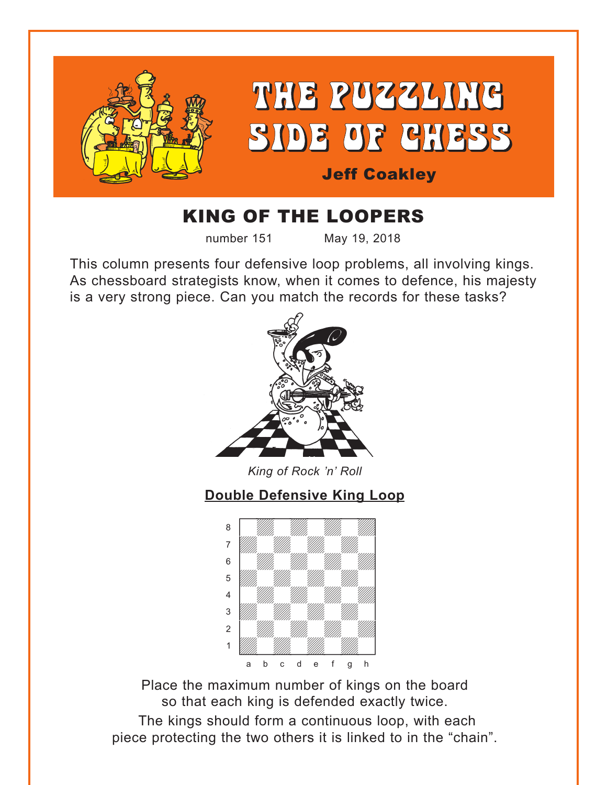<span id="page-0-0"></span>

# KING OF THE LOOPERS

number 151 May 19, 2018

This column presents four defensive loop problems, all involving kings. As chessboard strategists know, when it comes to defence, his majesty is a very strong piece. Can you match the records for these tasks?



*King of Rock 'n' Roll*

# **[Double Defensive King Loop](#page-4-0)**



Place the maximum number of kings on the board so that each king is defended exactly twice. The kings should form a continuous loop, with each piece protecting the two others it is linked to in the "chain".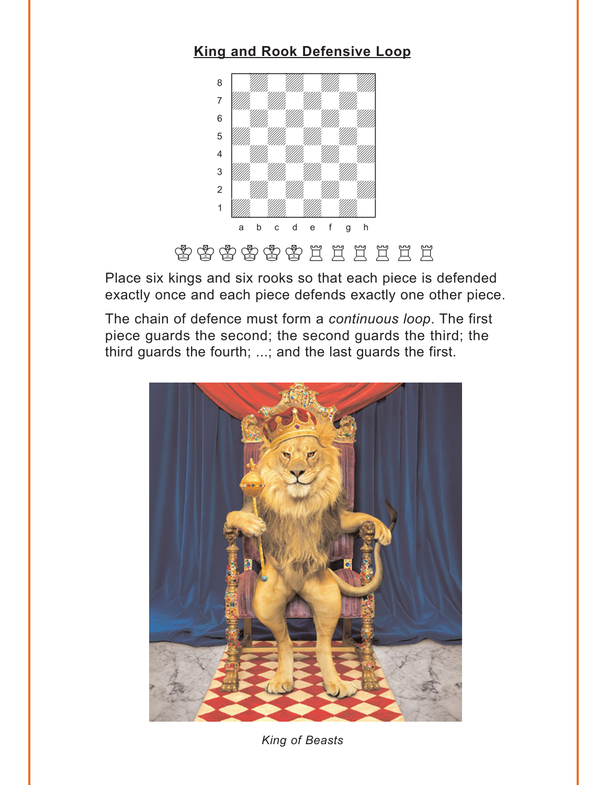### **[King and Rook Defensive Loop](#page-5-0)**

<span id="page-1-0"></span>

Place six kings and six rooks so that each piece is defended exactly once and each piece defends exactly one other piece.

The chain of defence must form a *continuous loop*. The first piece guards the second; the second guards the third; the third guards the fourth; ...; and the last guards the first.



*King of Beasts*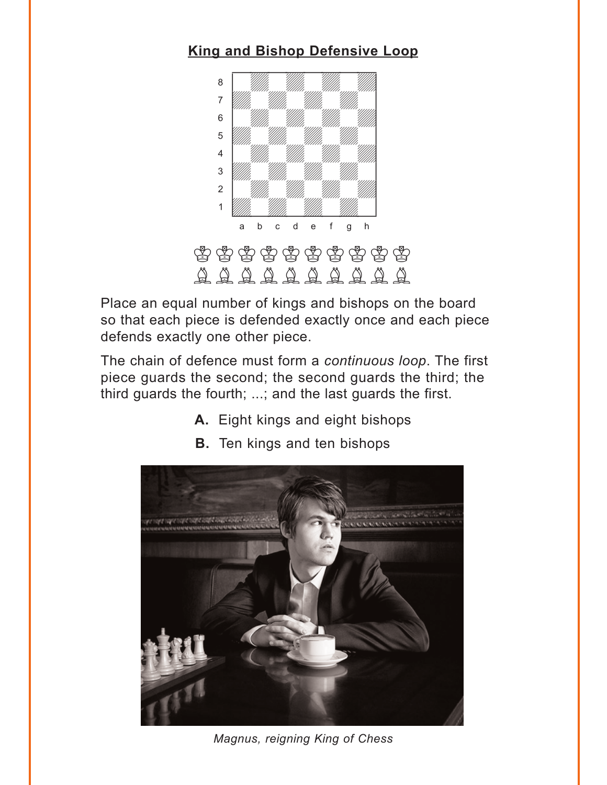## <span id="page-2-0"></span>**[King and Bishop Defensive Loop](#page-6-0)**



Place an equal number of kings and bishops on the board so that each piece is defended exactly once and each piece defends exactly one other piece.

The chain of defence must form a *continuous loop*. The first piece guards the second; the second guards the third; the third guards the fourth; ...; and the last guards the first.

**A.** Eight kings and eight bishops



**B.** Ten kings and ten bishops

*Magnus, reigning King of Chess*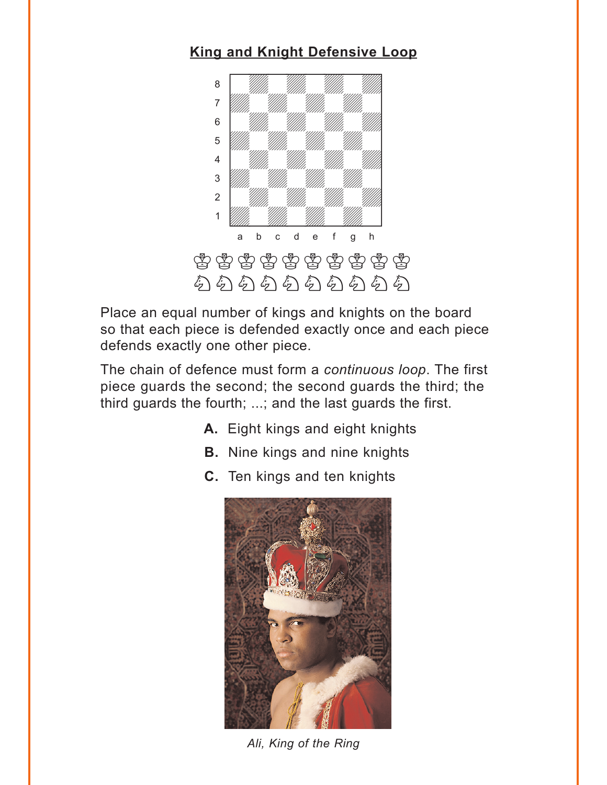## <span id="page-3-0"></span>**[King and Knight Defensive Loop](#page-7-0)**



Place an equal number of kings and knights on the board so that each piece is defended exactly once and each piece defends exactly one other piece.

The chain of defence must form a *continuous loop*. The first piece guards the second; the second guards the third; the third guards the fourth; ...; and the last guards the first.

- **A.** Eight kings and eight knights
- **B.** Nine kings and nine knights
- **C.** Ten kings and ten knights



*Ali, King of the Ring*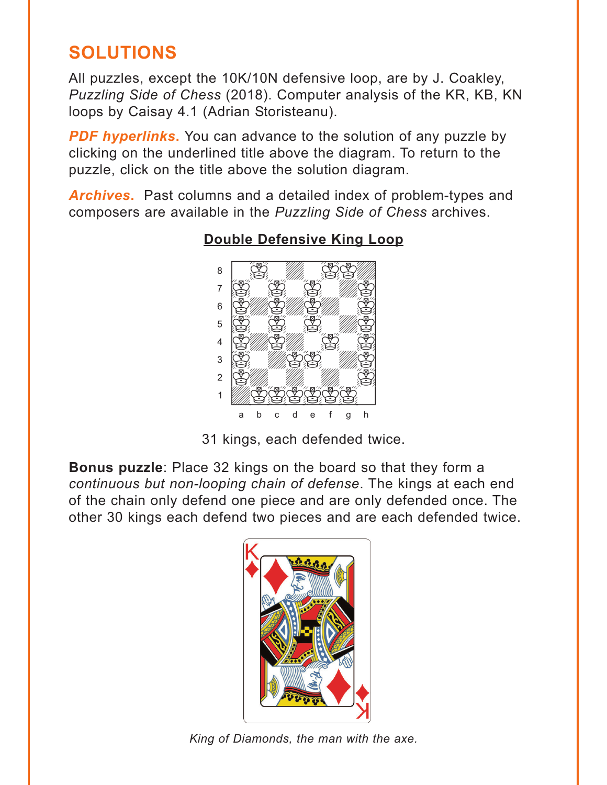# <span id="page-4-0"></span>**SOLUTIONS**

All puzzles, except the 10K/10N defensive loop, are by J. Coakley, *Puzzling Side of Chess* (2018). Computer analysis of the KR, KB, KN loops by Caisay 4.1 (Adrian Storisteanu).

**PDF hyperlinks.** You can advance to the solution of any puzzle by clicking on the underlined title above the diagram. To return to the puzzle, click on the title above the solution diagram.

*Archives***.** Past columns and a detailed index of problem-types and composers are available in the *Puzzling Side of Chess* archives.



### **[Double Defensive King Loop](#page-0-0)**

31 kings, each defended twice.

**[Bonus puzzle](#page-5-0)**: Place 32 kings on the board so that they form a *continuous but non-looping chain of defense*. The kings at each end of the chain only defend one piece and are only defended once. The other 30 kings each defend two pieces and are each defended twice.



*King of Diamonds, the man with the axe.*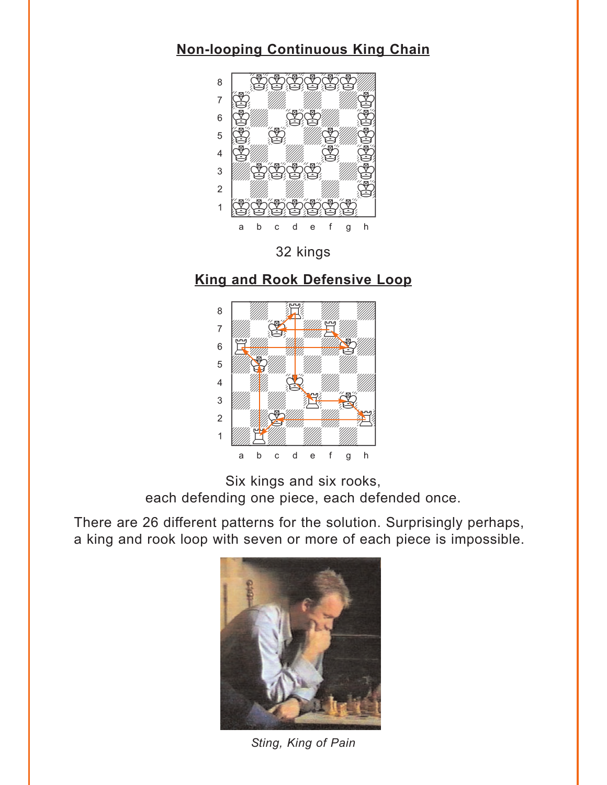#### <span id="page-5-0"></span>**[Non-looping Continuous King Chain](#page-4-0)**



32 kings

#### **[King and Rook Defensive Loop](#page-1-0)**



Six kings and six rooks, each defending one piece, each defended once.

There are 26 different patterns for the solution. Surprisingly perhaps, a king and rook loop with seven or more of each piece is impossible.



*Sting, King of Pain*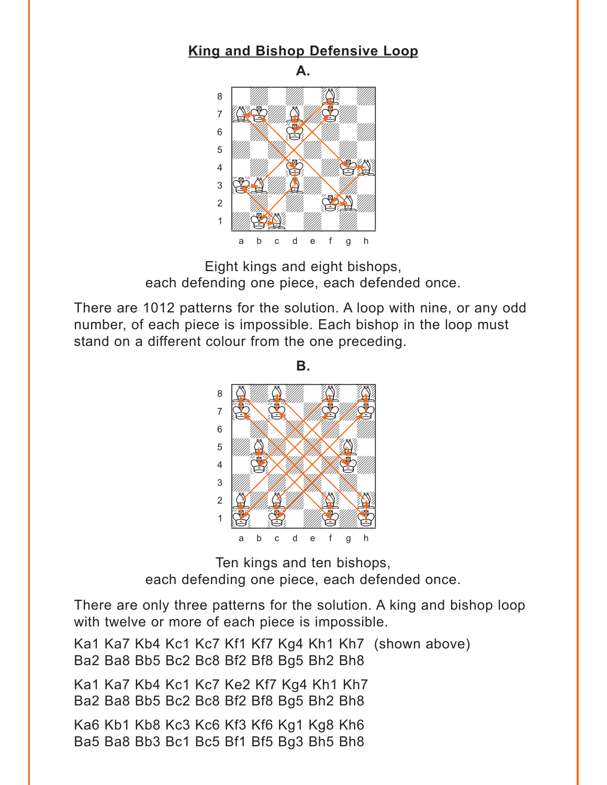#### <span id="page-6-0"></span>**[King and Bishop Defensive Loop](#page-2-0)**





Eight kings and eight bishops, each defending one piece, each defended once.

There are 1012 patterns for the solution. A loop with nine, or any odd number, of each piece is impossible. Each bishop in the loop must stand on a different colour from the one preceding.

**B.**

 $\mathbf{B}$ . <sup>8</sup> Allan Allen  $7$   $8$   $10$ 6 | Handburg Handburg Handburg Handburg Handburg Handburg Handburg Handburg Handburg Handburg Handburg Handburg 5 WAXWALD 4 S. XIII WASHING 3 William Hilly Hills 2 Gwyad a Barry 1980  $\frac{1}{10}$  is the state of  $\frac{1}{10}$ a b c d e f g h

Ten kings and ten bishops, each defending one piece, each defended once.

There are only three patterns for the solution. A king and bishop loop with twelve or more of each piece is impossible.

Ka1 Ka7 Kb4 Kc1 Kc7 Kf1 Kf7 Kg4 Kh1 Kh7 (shown above) Ba2 Ba8 Bb5 Bc2 Bc8 Bf2 Bf8 Bg5 Bh2 Bh8 Ka1 Ka7 Kb4 Kc1 Kc7 Ke2 Kf7 Kg4 Kh1 Kh7 Ba2 Ba8 Bb5 Bc2 Bc8 Bf2 Bf8 Bg5 Bh2 Bh8 Ka6 Kb1 Kb8 Kc3 Kc6 Kf3 Kf6 Kg1 Kg8 Kh6 Ba5 Ba8 Bb3 Bc1 Bc5 Bf1 Bf5 Bg3 Bh5 Bh8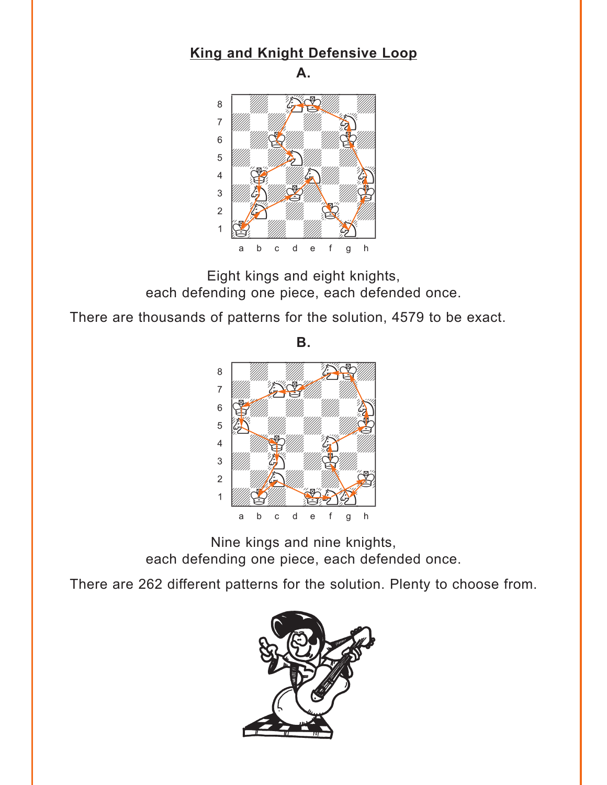#### <span id="page-7-0"></span>**[King and Knight Defensive Loop](#page-3-0)**

**A.**



Eight kings and eight knights, each defending one piece, each defended once.

There are thousands of patterns for the solution, 4579 to be exact.

**B.**



Nine kings and nine knights, each defending one piece, each defended once.

There are 262 different patterns for the solution. Plenty to choose from.